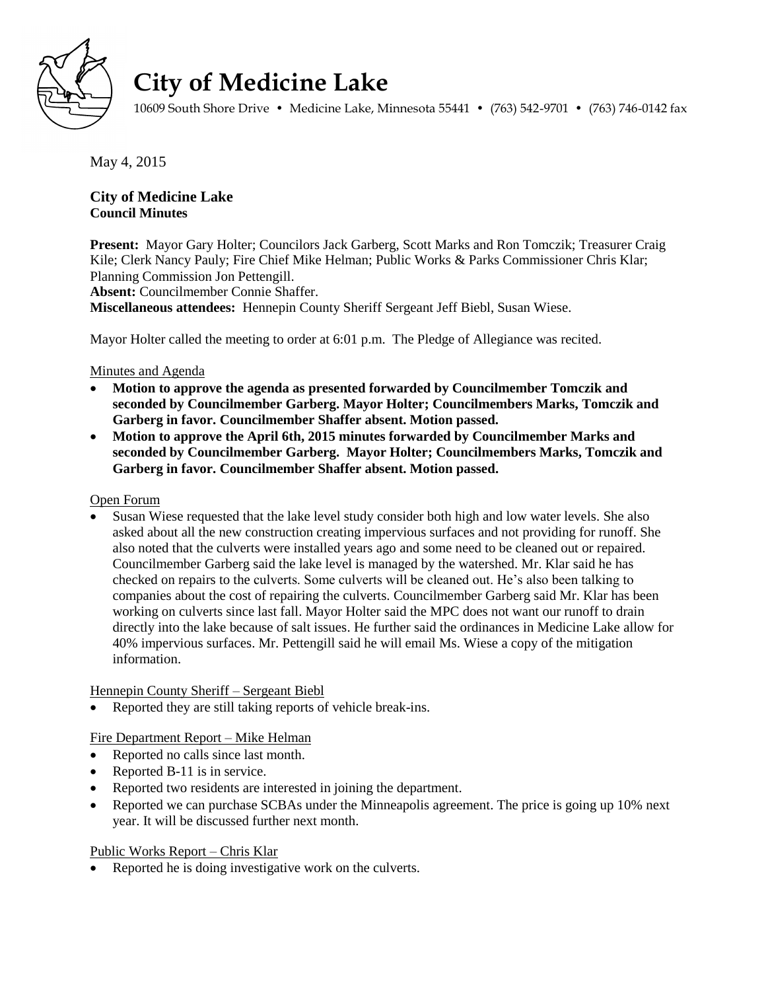

# **City of Medicine Lake**

10609 South Shore Drive • Medicine Lake, Minnesota 55441 • (763) 542-9701 • (763) 746-0142 fax

May 4, 2015

## **City of Medicine Lake Council Minutes**

**Present:** Mayor Gary Holter; Councilors Jack Garberg, Scott Marks and Ron Tomczik; Treasurer Craig Kile; Clerk Nancy Pauly; Fire Chief Mike Helman; Public Works & Parks Commissioner Chris Klar; Planning Commission Jon Pettengill.

**Absent:** Councilmember Connie Shaffer.

**Miscellaneous attendees:** Hennepin County Sheriff Sergeant Jeff Biebl, Susan Wiese.

Mayor Holter called the meeting to order at 6:01 p.m. The Pledge of Allegiance was recited.

## Minutes and Agenda

- **Motion to approve the agenda as presented forwarded by Councilmember Tomczik and seconded by Councilmember Garberg. Mayor Holter; Councilmembers Marks, Tomczik and Garberg in favor. Councilmember Shaffer absent. Motion passed.**
- **Motion to approve the April 6th, 2015 minutes forwarded by Councilmember Marks and seconded by Councilmember Garberg. Mayor Holter; Councilmembers Marks, Tomczik and Garberg in favor. Councilmember Shaffer absent. Motion passed.**

## Open Forum

 Susan Wiese requested that the lake level study consider both high and low water levels. She also asked about all the new construction creating impervious surfaces and not providing for runoff. She also noted that the culverts were installed years ago and some need to be cleaned out or repaired. Councilmember Garberg said the lake level is managed by the watershed. Mr. Klar said he has checked on repairs to the culverts. Some culverts will be cleaned out. He's also been talking to companies about the cost of repairing the culverts. Councilmember Garberg said Mr. Klar has been working on culverts since last fall. Mayor Holter said the MPC does not want our runoff to drain directly into the lake because of salt issues. He further said the ordinances in Medicine Lake allow for 40% impervious surfaces. Mr. Pettengill said he will email Ms. Wiese a copy of the mitigation information.

Hennepin County Sheriff – Sergeant Biebl

• Reported they are still taking reports of vehicle break-ins.

## Fire Department Report – Mike Helman

- Reported no calls since last month.
- Reported B-11 is in service.
- Reported two residents are interested in joining the department.
- Reported we can purchase SCBAs under the Minneapolis agreement. The price is going up 10% next year. It will be discussed further next month.

## Public Works Report – Chris Klar

Reported he is doing investigative work on the culverts.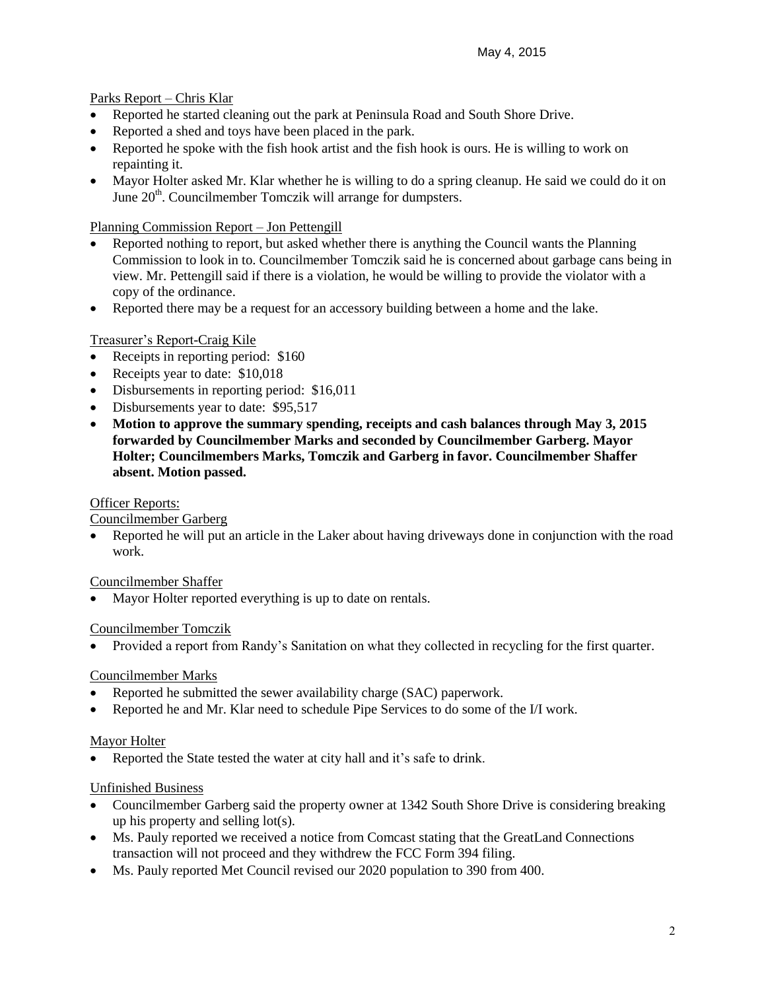## Parks Report – Chris Klar

- Reported he started cleaning out the park at Peninsula Road and South Shore Drive.
- Reported a shed and toys have been placed in the park.
- Reported he spoke with the fish hook artist and the fish hook is ours. He is willing to work on repainting it.
- Mayor Holter asked Mr. Klar whether he is willing to do a spring cleanup. He said we could do it on June 20<sup>th</sup>. Councilmember Tomczik will arrange for dumpsters.

## Planning Commission Report – Jon Pettengill

- Reported nothing to report, but asked whether there is anything the Council wants the Planning Commission to look in to. Councilmember Tomczik said he is concerned about garbage cans being in view. Mr. Pettengill said if there is a violation, he would be willing to provide the violator with a copy of the ordinance.
- Reported there may be a request for an accessory building between a home and the lake.

## Treasurer's Report-Craig Kile

- Receipts in reporting period: \$160
- Receipts year to date: \$10,018
- Disbursements in reporting period: \$16,011
- Disbursements year to date: \$95,517
- **Motion to approve the summary spending, receipts and cash balances through May 3, 2015 forwarded by Councilmember Marks and seconded by Councilmember Garberg. Mayor Holter; Councilmembers Marks, Tomczik and Garberg in favor. Councilmember Shaffer absent. Motion passed.**

## Officer Reports:

## Councilmember Garberg

 Reported he will put an article in the Laker about having driveways done in conjunction with the road work.

## Councilmember Shaffer

Mayor Holter reported everything is up to date on rentals.

## Councilmember Tomczik

Provided a report from Randy's Sanitation on what they collected in recycling for the first quarter.

## Councilmember Marks

- Reported he submitted the sewer availability charge (SAC) paperwork.
- Reported he and Mr. Klar need to schedule Pipe Services to do some of the I/I work.

## Mayor Holter

• Reported the State tested the water at city hall and it's safe to drink.

## Unfinished Business

- Councilmember Garberg said the property owner at 1342 South Shore Drive is considering breaking up his property and selling lot(s).
- Ms. Pauly reported we received a notice from Comcast stating that the GreatLand Connections transaction will not proceed and they withdrew the FCC Form 394 filing.
- Ms. Pauly reported Met Council revised our 2020 population to 390 from 400.